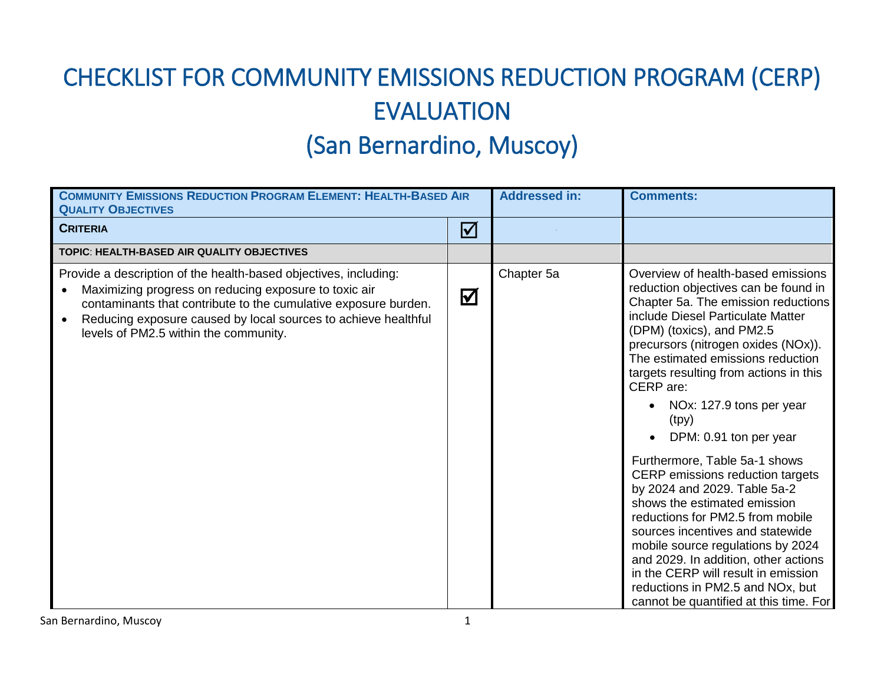## CHECKLIST FOR COMMUNITY EMISSIONS REDUCTION PROGRAM (CERP) EVALUATION

## (San Bernardino, Muscoy)

| <b>COMMUNITY EMISSIONS REDUCTION PROGRAM ELEMENT: HEALTH-BASED AIR</b><br><b>QUALITY OBJECTIVES</b>                                                                                                                                                                                                     |                         | <b>Addressed in:</b> | <b>Comments:</b>                                                                                                                                                                                                                                                                                                                                                                                                                                                                                                                                                                                                                                                                                                                                                                                     |
|---------------------------------------------------------------------------------------------------------------------------------------------------------------------------------------------------------------------------------------------------------------------------------------------------------|-------------------------|----------------------|------------------------------------------------------------------------------------------------------------------------------------------------------------------------------------------------------------------------------------------------------------------------------------------------------------------------------------------------------------------------------------------------------------------------------------------------------------------------------------------------------------------------------------------------------------------------------------------------------------------------------------------------------------------------------------------------------------------------------------------------------------------------------------------------------|
| <b>CRITERIA</b>                                                                                                                                                                                                                                                                                         | $\boldsymbol{\nabla}$   |                      |                                                                                                                                                                                                                                                                                                                                                                                                                                                                                                                                                                                                                                                                                                                                                                                                      |
| TOPIC: HEALTH-BASED AIR QUALITY OBJECTIVES                                                                                                                                                                                                                                                              |                         |                      |                                                                                                                                                                                                                                                                                                                                                                                                                                                                                                                                                                                                                                                                                                                                                                                                      |
| Provide a description of the health-based objectives, including:<br>Maximizing progress on reducing exposure to toxic air<br>contaminants that contribute to the cumulative exposure burden.<br>Reducing exposure caused by local sources to achieve healthful<br>levels of PM2.5 within the community. | $\overline{\mathbf{M}}$ | Chapter 5a           | Overview of health-based emissions<br>reduction objectives can be found in<br>Chapter 5a. The emission reductions<br>include Diesel Particulate Matter<br>(DPM) (toxics), and PM2.5<br>precursors (nitrogen oxides (NOx)).<br>The estimated emissions reduction<br>targets resulting from actions in this<br>CERP are:<br>NOx: 127.9 tons per year<br>(tpy)<br>DPM: 0.91 ton per year<br>Furthermore, Table 5a-1 shows<br>CERP emissions reduction targets<br>by 2024 and 2029. Table 5a-2<br>shows the estimated emission<br>reductions for PM2.5 from mobile<br>sources incentives and statewide<br>mobile source regulations by 2024<br>and 2029. In addition, other actions<br>in the CERP will result in emission<br>reductions in PM2.5 and NOx, but<br>cannot be quantified at this time. For |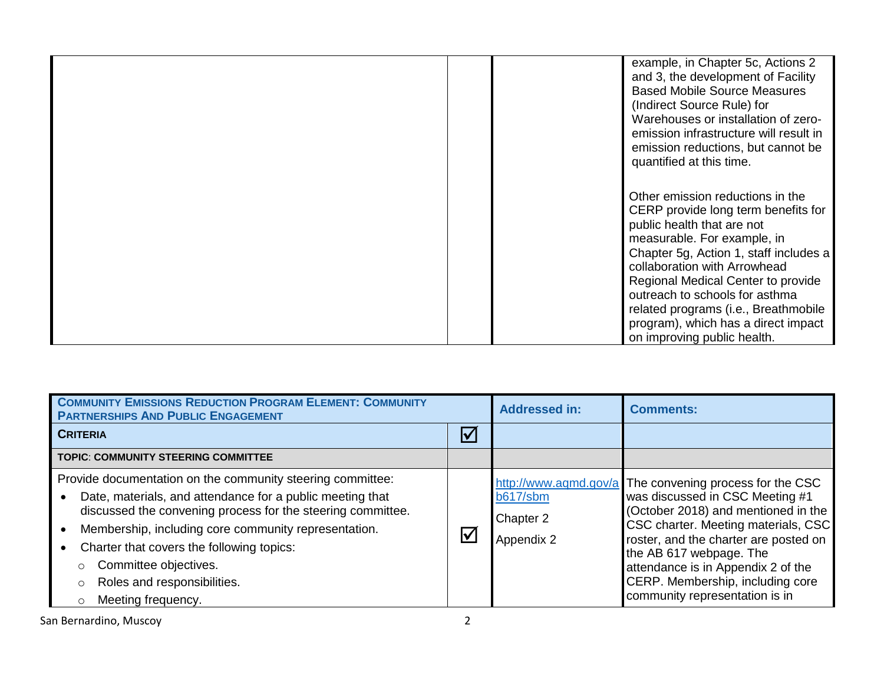|  | example, in Chapter 5c, Actions 2<br>and 3, the development of Facility<br><b>Based Mobile Source Measures</b><br>(Indirect Source Rule) for<br>Warehouses or installation of zero-<br>emission infrastructure will result in<br>emission reductions, but cannot be<br>quantified at this time.                                                                                                      |
|--|------------------------------------------------------------------------------------------------------------------------------------------------------------------------------------------------------------------------------------------------------------------------------------------------------------------------------------------------------------------------------------------------------|
|  | Other emission reductions in the<br>CERP provide long term benefits for<br>public health that are not<br>measurable. For example, in<br>Chapter 5g, Action 1, staff includes a<br>collaboration with Arrowhead<br>Regional Medical Center to provide<br>outreach to schools for asthma<br>related programs (i.e., Breathmobile<br>program), which has a direct impact<br>on improving public health. |

| <b>COMMUNITY EMISSIONS REDUCTION PROGRAM ELEMENT: COMMUNITY</b><br><b>PARTNERSHIPS AND PUBLIC ENGAGEMENT</b>                                                                                                                                                                                                                                                                                               |               | <b>Addressed in:</b>                | <b>Comments:</b>                                                                                                                                                                                                                                                                                                                                         |
|------------------------------------------------------------------------------------------------------------------------------------------------------------------------------------------------------------------------------------------------------------------------------------------------------------------------------------------------------------------------------------------------------------|---------------|-------------------------------------|----------------------------------------------------------------------------------------------------------------------------------------------------------------------------------------------------------------------------------------------------------------------------------------------------------------------------------------------------------|
| <b>CRITERIA</b>                                                                                                                                                                                                                                                                                                                                                                                            | $\Delta$      |                                     |                                                                                                                                                                                                                                                                                                                                                          |
| <b>TOPIC: COMMUNITY STEERING COMMITTEE</b>                                                                                                                                                                                                                                                                                                                                                                 |               |                                     |                                                                                                                                                                                                                                                                                                                                                          |
| Provide documentation on the community steering committee:<br>Date, materials, and attendance for a public meeting that<br>discussed the convening process for the steering committee.<br>Membership, including core community representation.<br>Charter that covers the following topics:<br>Committee objectives.<br>$\circ$<br>Roles and responsibilities.<br>$\circ$<br>Meeting frequency.<br>$\circ$ | $\bm{\nabla}$ | b617/sbm<br>Chapter 2<br>Appendix 2 | http://www.aqmd.gov/a The convening process for the CSC<br>was discussed in CSC Meeting #1<br>(October 2018) and mentioned in the<br>CSC charter. Meeting materials, CSC<br>roster, and the charter are posted on<br>the AB 617 webpage. The<br>attendance is in Appendix 2 of the<br>CERP. Membership, including core<br>community representation is in |

San Bernardino, Muscoy 2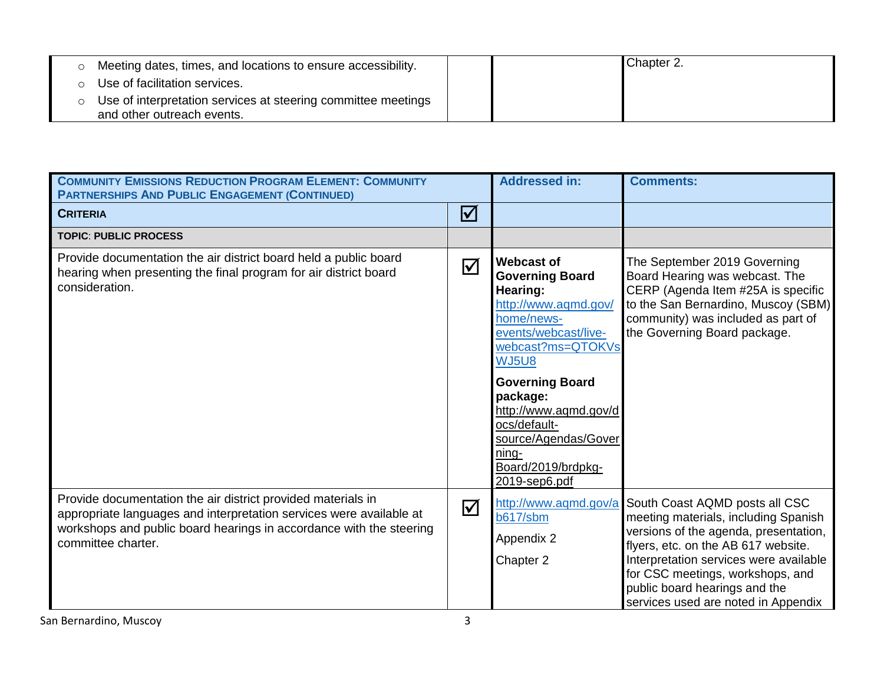| Meeting dates, times, and locations to ensure accessibility.                                |  | Chapter 2. |
|---------------------------------------------------------------------------------------------|--|------------|
| Use of facilitation services.                                                               |  |            |
| Use of interpretation services at steering committee meetings<br>and other outreach events. |  |            |

| <b>COMMUNITY EMISSIONS REDUCTION PROGRAM ELEMENT: COMMUNITY</b><br><b>PARTNERSHIPS AND PUBLIC ENGAGEMENT (CONTINUED)</b>                                                                                                         |                         | <b>Addressed in:</b>                                                                                                                                                                                                                                                                                              | <b>Comments:</b>                                                                                                                                                                                                                                                                                             |
|----------------------------------------------------------------------------------------------------------------------------------------------------------------------------------------------------------------------------------|-------------------------|-------------------------------------------------------------------------------------------------------------------------------------------------------------------------------------------------------------------------------------------------------------------------------------------------------------------|--------------------------------------------------------------------------------------------------------------------------------------------------------------------------------------------------------------------------------------------------------------------------------------------------------------|
| <b>CRITERIA</b>                                                                                                                                                                                                                  | $\boxtimes$             |                                                                                                                                                                                                                                                                                                                   |                                                                                                                                                                                                                                                                                                              |
| <b>TOPIC: PUBLIC PROCESS</b>                                                                                                                                                                                                     |                         |                                                                                                                                                                                                                                                                                                                   |                                                                                                                                                                                                                                                                                                              |
| Provide documentation the air district board held a public board<br>hearing when presenting the final program for air district board<br>consideration.                                                                           | $\overline{\mathsf{M}}$ | <b>Webcast of</b><br><b>Governing Board</b><br>Hearing:<br>http://www.aqmd.gov/<br>home/news-<br>events/webcast/live-<br>webcast?ms=QTOKVs<br><b>WJ5U8</b><br><b>Governing Board</b><br>package:<br>http://www.aqmd.gov/d<br>ocs/default-<br>source/Agendas/Gover<br>ning-<br>Board/2019/brdpkg-<br>2019-sep6.pdf | The September 2019 Governing<br>Board Hearing was webcast. The<br>CERP (Agenda Item #25A is specific<br>to the San Bernardino, Muscoy (SBM)<br>community) was included as part of<br>the Governing Board package.                                                                                            |
| Provide documentation the air district provided materials in<br>appropriate languages and interpretation services were available at<br>workshops and public board hearings in accordance with the steering<br>committee charter. | $\overline{\mathbf{M}}$ | http://www.aqmd.gov/a<br>b617/sbm<br>Appendix 2<br>Chapter 2                                                                                                                                                                                                                                                      | South Coast AQMD posts all CSC<br>meeting materials, including Spanish<br>versions of the agenda, presentation,<br>flyers, etc. on the AB 617 website.<br>Interpretation services were available<br>for CSC meetings, workshops, and<br>public board hearings and the<br>services used are noted in Appendix |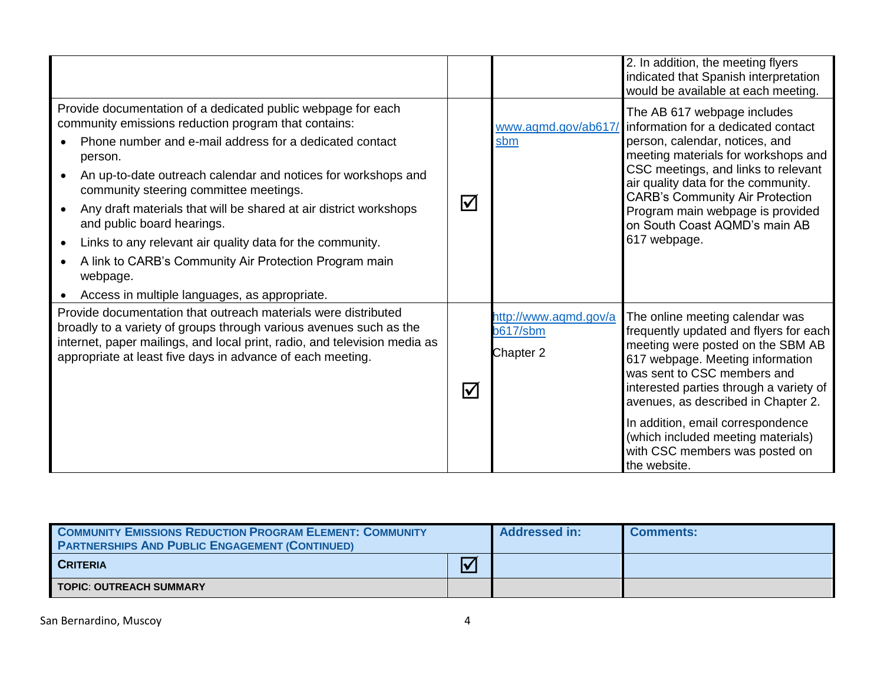|                                                                                                                                                                                                                                                                                                                                                                                                                                                                                                                                                                                              |                       |                                                       | 2. In addition, the meeting flyers<br>indicated that Spanish interpretation<br>would be available at each meeting.                                                                                                                                                                                                                                                                               |
|----------------------------------------------------------------------------------------------------------------------------------------------------------------------------------------------------------------------------------------------------------------------------------------------------------------------------------------------------------------------------------------------------------------------------------------------------------------------------------------------------------------------------------------------------------------------------------------------|-----------------------|-------------------------------------------------------|--------------------------------------------------------------------------------------------------------------------------------------------------------------------------------------------------------------------------------------------------------------------------------------------------------------------------------------------------------------------------------------------------|
| Provide documentation of a dedicated public webpage for each<br>community emissions reduction program that contains:<br>Phone number and e-mail address for a dedicated contact<br>person.<br>An up-to-date outreach calendar and notices for workshops and<br>community steering committee meetings.<br>Any draft materials that will be shared at air district workshops<br>and public board hearings.<br>Links to any relevant air quality data for the community.<br>A link to CARB's Community Air Protection Program main<br>webpage.<br>Access in multiple languages, as appropriate. | $\Delta$              | www.aqmd.gov/ab617<br>sbm                             | The AB 617 webpage includes<br>information for a dedicated contact<br>person, calendar, notices, and<br>meeting materials for workshops and<br>CSC meetings, and links to relevant<br>air quality data for the community.<br><b>CARB's Community Air Protection</b><br>Program main webpage is provided<br>on South Coast AQMD's main AB<br>617 webpage.                                         |
| Provide documentation that outreach materials were distributed<br>broadly to a variety of groups through various avenues such as the<br>internet, paper mailings, and local print, radio, and television media as<br>appropriate at least five days in advance of each meeting.                                                                                                                                                                                                                                                                                                              | $\boldsymbol{\nabla}$ | http://www.aqmd.gov/a<br><b>b617/sbm</b><br>Chapter 2 | The online meeting calendar was<br>frequently updated and flyers for each<br>meeting were posted on the SBM AB<br>617 webpage. Meeting information<br>was sent to CSC members and<br>interested parties through a variety of<br>avenues, as described in Chapter 2.<br>In addition, email correspondence<br>(which included meeting materials)<br>with CSC members was posted on<br>the website. |

| <b>COMMUNITY EMISSIONS REDUCTION PROGRAM ELEMENT: COMMUNITY</b><br><b>PARTNERSHIPS AND PUBLIC ENGAGEMENT (CONTINUED)</b> |                         | <b>Addressed in:</b> | <b>Comments:</b> |
|--------------------------------------------------------------------------------------------------------------------------|-------------------------|----------------------|------------------|
| <b>CRITERIA</b>                                                                                                          | $\overline{\mathsf{V}}$ |                      |                  |
| TOPIC: OUTREACH SUMMARY                                                                                                  |                         |                      |                  |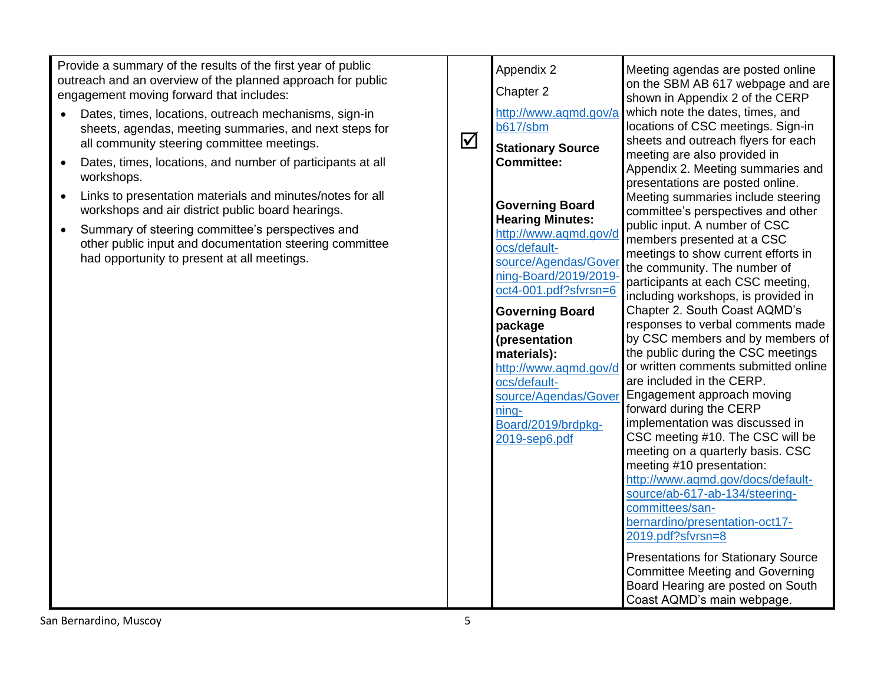Provide a summary of the results of the first year of public outreach and an overview of the planned approach for public engagement moving forward that includes:

- Dates, times, locations, outreach mechanisms, sign-in sheets, agendas, meeting summaries, and next steps for all community steering committee meetings.
- Dates, times, locations, and number of participants at all workshops.
- Links to presentation materials and minutes/notes for all workshops and air district public board hearings.
- Summary of steering committee's perspectives and other public input and documentation steering committee had opportunity to present at all meetings.

| $\blacktriangledown$ | Appendix 2<br>Chapter 2<br>http://www.aqmd.gov/a<br><b>b617/sbm</b><br><b>Stationary Source</b><br><b>Committee:</b>                                                                                                                                                                                                                                       | Meeting agendas are posted online<br>on the SBM AB 617 webpage and are<br>shown in Appendix 2 of the CERP<br>which note the dates, times, and<br>locations of CSC meetings. Sign-in<br>sheets and outreach flyers for each<br>meeting are also provided in<br>Appendix 2. Meeting summaries and<br>presentations are posted online.                                                                                                                                                                                                                                                                                                                                                                                                                                                                                                                                                                                                                                                                                           |
|----------------------|------------------------------------------------------------------------------------------------------------------------------------------------------------------------------------------------------------------------------------------------------------------------------------------------------------------------------------------------------------|-------------------------------------------------------------------------------------------------------------------------------------------------------------------------------------------------------------------------------------------------------------------------------------------------------------------------------------------------------------------------------------------------------------------------------------------------------------------------------------------------------------------------------------------------------------------------------------------------------------------------------------------------------------------------------------------------------------------------------------------------------------------------------------------------------------------------------------------------------------------------------------------------------------------------------------------------------------------------------------------------------------------------------|
|                      | <b>Governing Board</b><br><b>Hearing Minutes:</b><br>http://www.aqmd.gov/d<br>ocs/default-<br>source/Agendas/Gover<br>ning-Board/2019/2019-<br>oct4-001.pdf?sfvrsn=6<br><b>Governing Board</b><br>package<br>(presentation<br>materials):<br>http://www.aqmd.gov/d<br>ocs/default-<br>source/Agendas/Gover<br>ning-<br>Board/2019/brdpkg-<br>2019-sep6.pdf | Meeting summaries include steering<br>committee's perspectives and other<br>public input. A number of CSC<br>members presented at a CSC<br>meetings to show current efforts in<br>the community. The number of<br>participants at each CSC meeting,<br>including workshops, is provided in<br>Chapter 2. South Coast AQMD's<br>responses to verbal comments made<br>by CSC members and by members of<br>the public during the CSC meetings<br>or written comments submitted online<br>are included in the CERP.<br>Engagement approach moving<br>forward during the CERP<br>implementation was discussed in<br>CSC meeting #10. The CSC will be<br>meeting on a quarterly basis. CSC<br>meeting #10 presentation:<br>http://www.aqmd.gov/docs/default-<br>source/ab-617-ab-134/steering-<br>committees/san-<br>bernardino/presentation-oct17-<br>2019.pdf?sfvrsn=8<br><b>Presentations for Stationary Source</b><br><b>Committee Meeting and Governing</b><br>Board Hearing are posted on South<br>Coast AQMD's main webpage. |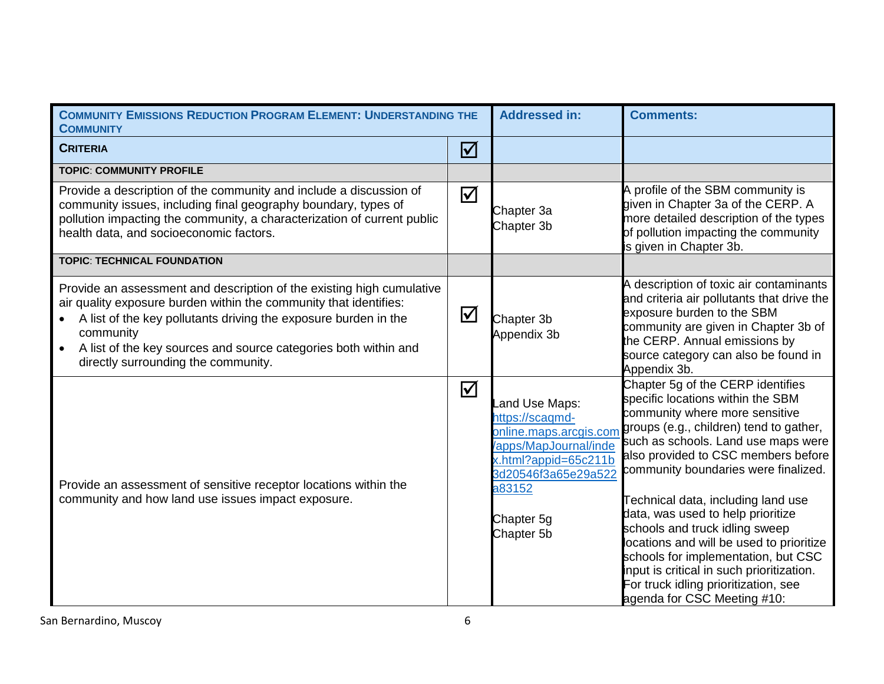| <b>COMMUNITY EMISSIONS REDUCTION PROGRAM ELEMENT: UNDERSTANDING THE</b><br><b>COMMUNITY</b>                                                                                                                                                                                                                                          |                         | <b>Addressed in:</b>                                                                                                                                                     | <b>Comments:</b>                                                                                                                                                                                                                                                                                                                                                                                                                                                                                                                                                                              |
|--------------------------------------------------------------------------------------------------------------------------------------------------------------------------------------------------------------------------------------------------------------------------------------------------------------------------------------|-------------------------|--------------------------------------------------------------------------------------------------------------------------------------------------------------------------|-----------------------------------------------------------------------------------------------------------------------------------------------------------------------------------------------------------------------------------------------------------------------------------------------------------------------------------------------------------------------------------------------------------------------------------------------------------------------------------------------------------------------------------------------------------------------------------------------|
| <b>CRITERIA</b>                                                                                                                                                                                                                                                                                                                      | $\boxed{\mathcal{N}}$   |                                                                                                                                                                          |                                                                                                                                                                                                                                                                                                                                                                                                                                                                                                                                                                                               |
| <b>TOPIC: COMMUNITY PROFILE</b>                                                                                                                                                                                                                                                                                                      |                         |                                                                                                                                                                          |                                                                                                                                                                                                                                                                                                                                                                                                                                                                                                                                                                                               |
| Provide a description of the community and include a discussion of<br>community issues, including final geography boundary, types of<br>pollution impacting the community, a characterization of current public<br>health data, and socioeconomic factors.                                                                           | $\Delta$                | Chapter 3a<br>Chapter 3b                                                                                                                                                 | A profile of the SBM community is<br>given in Chapter 3a of the CERP. A<br>more detailed description of the types<br>of pollution impacting the community<br>is given in Chapter 3b.                                                                                                                                                                                                                                                                                                                                                                                                          |
| <b>TOPIC: TECHNICAL FOUNDATION</b>                                                                                                                                                                                                                                                                                                   |                         |                                                                                                                                                                          |                                                                                                                                                                                                                                                                                                                                                                                                                                                                                                                                                                                               |
| Provide an assessment and description of the existing high cumulative<br>air quality exposure burden within the community that identifies:<br>A list of the key pollutants driving the exposure burden in the<br>community<br>A list of the key sources and source categories both within and<br>directly surrounding the community. | $\Delta$                | Chapter 3b<br>Appendix 3b                                                                                                                                                | A description of toxic air contaminants<br>and criteria air pollutants that drive the<br>exposure burden to the SBM<br>community are given in Chapter 3b of<br>the CERP. Annual emissions by<br>source category can also be found in<br>Appendix 3b.                                                                                                                                                                                                                                                                                                                                          |
| Provide an assessment of sensitive receptor locations within the<br>community and how land use issues impact exposure.                                                                                                                                                                                                               | $\overline{\mathbf{M}}$ | Land Use Maps:<br>https://scaqmd-<br>online.maps.arcgis.com<br>apps/MapJournal/inde<br>x.html?appid=65c211b<br>3d20546f3a65e29a522<br>a83152<br>Chapter 5g<br>Chapter 5b | Chapter 5g of the CERP identifies<br>specific locations within the SBM<br>community where more sensitive<br>groups (e.g., children) tend to gather,<br>such as schools. Land use maps were<br>also provided to CSC members before<br>community boundaries were finalized.<br>Technical data, including land use<br>data, was used to help prioritize<br>schools and truck idling sweep<br>locations and will be used to prioritize<br>schools for implementation, but CSC<br>input is critical in such prioritization.<br>For truck idling prioritization, see<br>agenda for CSC Meeting #10: |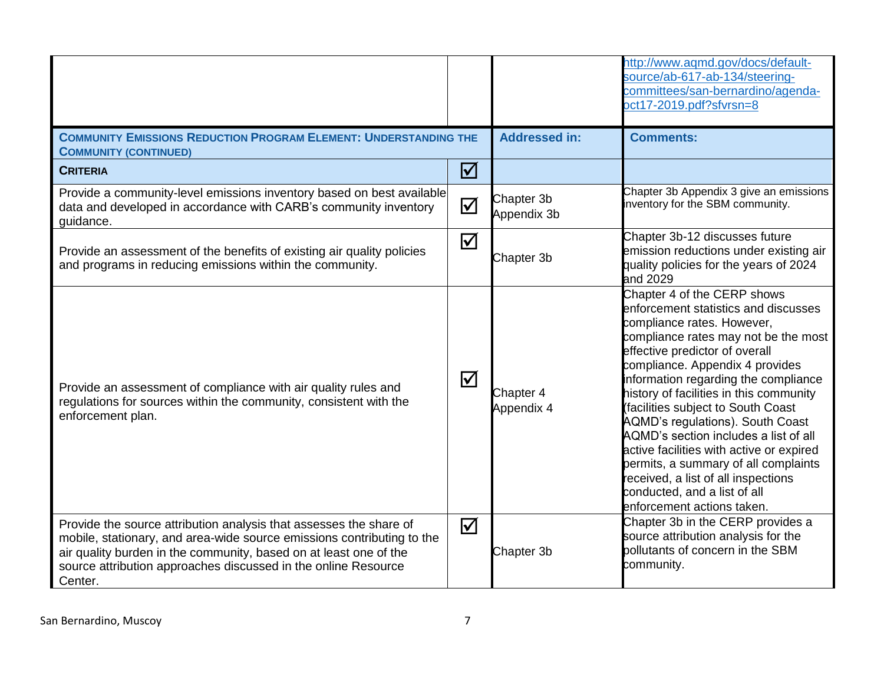|                                                                                                                                                                                                                                                                                                |          |                           | http://www.aqmd.gov/docs/default-<br>source/ab-617-ab-134/steering-<br>committees/san-bernardino/agenda-<br>oct17-2019.pdf?sfvrsn=8                                                                                                                                                                                                                                                                                                                                                                                                                                                                           |
|------------------------------------------------------------------------------------------------------------------------------------------------------------------------------------------------------------------------------------------------------------------------------------------------|----------|---------------------------|---------------------------------------------------------------------------------------------------------------------------------------------------------------------------------------------------------------------------------------------------------------------------------------------------------------------------------------------------------------------------------------------------------------------------------------------------------------------------------------------------------------------------------------------------------------------------------------------------------------|
| <b>COMMUNITY EMISSIONS REDUCTION PROGRAM ELEMENT: UNDERSTANDING THE</b><br><b>COMMUNITY (CONTINUED)</b>                                                                                                                                                                                        |          | <b>Addressed in:</b>      | <b>Comments:</b>                                                                                                                                                                                                                                                                                                                                                                                                                                                                                                                                                                                              |
| <b>CRITERIA</b>                                                                                                                                                                                                                                                                                | $\Delta$ |                           |                                                                                                                                                                                                                                                                                                                                                                                                                                                                                                                                                                                                               |
| Provide a community-level emissions inventory based on best available<br>data and developed in accordance with CARB's community inventory<br>guidance.                                                                                                                                         | $\Delta$ | Chapter 3b<br>Appendix 3b | Chapter 3b Appendix 3 give an emissions<br>inventory for the SBM community.                                                                                                                                                                                                                                                                                                                                                                                                                                                                                                                                   |
| Provide an assessment of the benefits of existing air quality policies<br>and programs in reducing emissions within the community.                                                                                                                                                             | $\Delta$ | Chapter 3b                | Chapter 3b-12 discusses future<br>emission reductions under existing air<br>quality policies for the years of 2024<br>and 2029                                                                                                                                                                                                                                                                                                                                                                                                                                                                                |
| Provide an assessment of compliance with air quality rules and<br>regulations for sources within the community, consistent with the<br>enforcement plan.                                                                                                                                       | $\Delta$ | Chapter 4<br>Appendix 4   | Chapter 4 of the CERP shows<br>enforcement statistics and discusses<br>compliance rates. However,<br>compliance rates may not be the most<br>effective predictor of overall<br>compliance. Appendix 4 provides<br>information regarding the compliance<br>history of facilities in this community<br>(facilities subject to South Coast<br>AQMD's regulations). South Coast<br>AQMD's section includes a list of all<br>active facilities with active or expired<br>permits, a summary of all complaints<br>received, a list of all inspections<br>conducted, and a list of all<br>enforcement actions taken. |
| Provide the source attribution analysis that assesses the share of<br>mobile, stationary, and area-wide source emissions contributing to the<br>air quality burden in the community, based on at least one of the<br>source attribution approaches discussed in the online Resource<br>Center. | $\Delta$ | Chapter 3b                | Chapter 3b in the CERP provides a<br>source attribution analysis for the<br>pollutants of concern in the SBM<br>community.                                                                                                                                                                                                                                                                                                                                                                                                                                                                                    |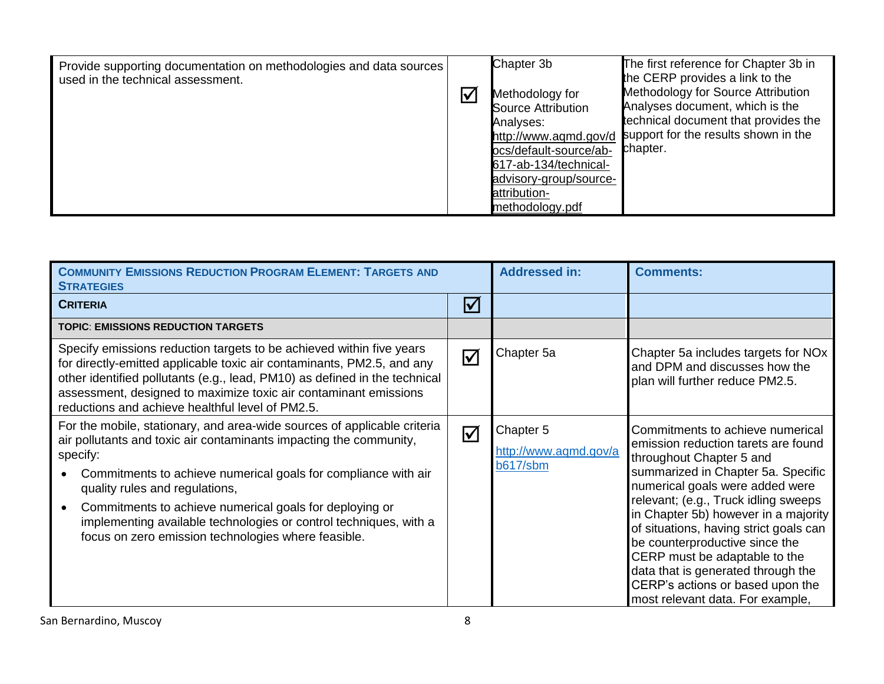| Provide supporting documentation on methodologies and data sources<br>used in the technical assessment. | $\overline{\mathsf{V}}$ | Chapter 3b<br>Methodology for<br><b>Source Attribution</b><br>Analyses:<br>http://www.aqmd.gov/d<br>pcs/default-source/ab-<br>617-ab-134/technical-<br>advisory-group/source-<br>attribution-<br>methodology.pdf | The first reference for Chapter 3b in<br>the CERP provides a link to the<br>Methodology for Source Attribution<br>Analyses document, which is the<br>technical document that provides the<br>support for the results shown in the<br>chapter. |
|---------------------------------------------------------------------------------------------------------|-------------------------|------------------------------------------------------------------------------------------------------------------------------------------------------------------------------------------------------------------|-----------------------------------------------------------------------------------------------------------------------------------------------------------------------------------------------------------------------------------------------|
|---------------------------------------------------------------------------------------------------------|-------------------------|------------------------------------------------------------------------------------------------------------------------------------------------------------------------------------------------------------------|-----------------------------------------------------------------------------------------------------------------------------------------------------------------------------------------------------------------------------------------------|

| <b>COMMUNITY EMISSIONS REDUCTION PROGRAM ELEMENT: TARGETS AND</b><br><b>STRATEGIES</b>                                                                                                                                                                                                                                                                                                                                                                |                              | <b>Addressed in:</b>                                  | <b>Comments:</b>                                                                                                                                                                                                                                                                                                                                                                                                                                                                        |
|-------------------------------------------------------------------------------------------------------------------------------------------------------------------------------------------------------------------------------------------------------------------------------------------------------------------------------------------------------------------------------------------------------------------------------------------------------|------------------------------|-------------------------------------------------------|-----------------------------------------------------------------------------------------------------------------------------------------------------------------------------------------------------------------------------------------------------------------------------------------------------------------------------------------------------------------------------------------------------------------------------------------------------------------------------------------|
| <b>CRITERIA</b>                                                                                                                                                                                                                                                                                                                                                                                                                                       | $\boldsymbol{\triangledown}$ |                                                       |                                                                                                                                                                                                                                                                                                                                                                                                                                                                                         |
| <b>TOPIC: EMISSIONS REDUCTION TARGETS</b>                                                                                                                                                                                                                                                                                                                                                                                                             |                              |                                                       |                                                                                                                                                                                                                                                                                                                                                                                                                                                                                         |
| Specify emissions reduction targets to be achieved within five years<br>for directly-emitted applicable toxic air contaminants, PM2.5, and any<br>other identified pollutants (e.g., lead, PM10) as defined in the technical<br>assessment, designed to maximize toxic air contaminant emissions<br>reductions and achieve healthful level of PM2.5.                                                                                                  | $\bm{\nabla}$                | Chapter 5a                                            | Chapter 5a includes targets for NO <sub>x</sub><br>and DPM and discusses how the<br>plan will further reduce PM2.5.                                                                                                                                                                                                                                                                                                                                                                     |
| For the mobile, stationary, and area-wide sources of applicable criteria<br>air pollutants and toxic air contaminants impacting the community,<br>specify:<br>Commitments to achieve numerical goals for compliance with air<br>quality rules and regulations,<br>Commitments to achieve numerical goals for deploying or<br>implementing available technologies or control techniques, with a<br>focus on zero emission technologies where feasible. | $\overline{\mathsf{M}}$      | Chapter 5<br>http://www.aqmd.gov/a<br><b>b617/sbm</b> | Commitments to achieve numerical<br>emission reduction tarets are found<br>throughout Chapter 5 and<br>summarized in Chapter 5a. Specific<br>numerical goals were added were<br>relevant; (e.g., Truck idling sweeps<br>in Chapter 5b) however in a majority<br>of situations, having strict goals can<br>be counterproductive since the<br>CERP must be adaptable to the<br>data that is generated through the<br>CERP's actions or based upon the<br>most relevant data. For example, |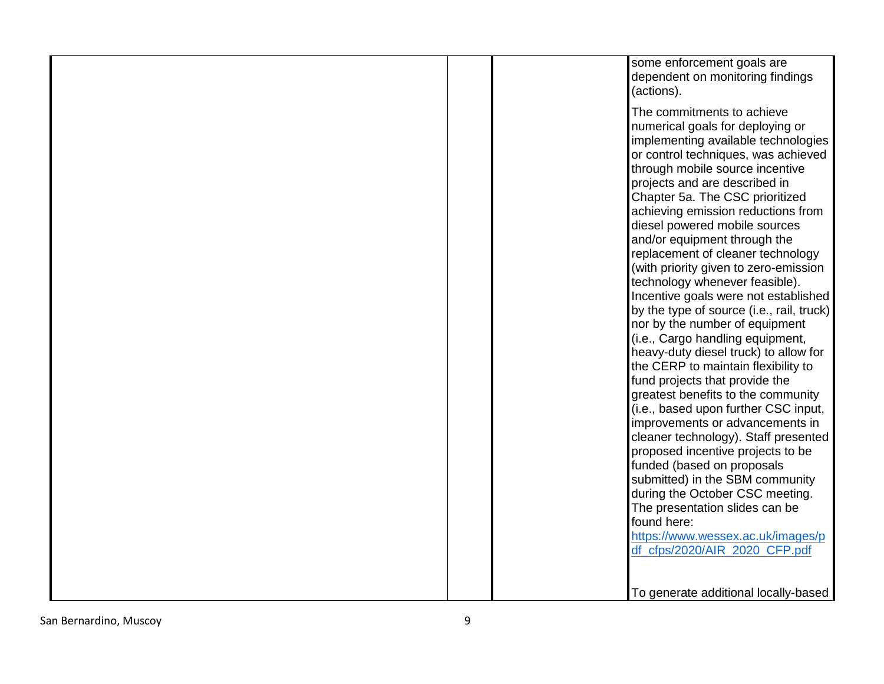| some enforcement goals are<br>dependent on monitoring findings<br>(actions).                                                                                                                                                                                                                                                                                                                                                                                                                                                                                                                                                                                                                                                                                                                                                                                                                                                                                                                                                                                                                               |
|------------------------------------------------------------------------------------------------------------------------------------------------------------------------------------------------------------------------------------------------------------------------------------------------------------------------------------------------------------------------------------------------------------------------------------------------------------------------------------------------------------------------------------------------------------------------------------------------------------------------------------------------------------------------------------------------------------------------------------------------------------------------------------------------------------------------------------------------------------------------------------------------------------------------------------------------------------------------------------------------------------------------------------------------------------------------------------------------------------|
| The commitments to achieve<br>numerical goals for deploying or<br>implementing available technologies<br>or control techniques, was achieved<br>through mobile source incentive<br>projects and are described in<br>Chapter 5a. The CSC prioritized<br>achieving emission reductions from<br>diesel powered mobile sources<br>and/or equipment through the<br>replacement of cleaner technology<br>(with priority given to zero-emission<br>technology whenever feasible).<br>Incentive goals were not established<br>by the type of source (i.e., rail, truck)<br>nor by the number of equipment<br>(i.e., Cargo handling equipment,<br>heavy-duty diesel truck) to allow for<br>the CERP to maintain flexibility to<br>fund projects that provide the<br>greatest benefits to the community<br>(i.e., based upon further CSC input,<br>improvements or advancements in<br>cleaner technology). Staff presented<br>proposed incentive projects to be<br>funded (based on proposals<br>submitted) in the SBM community<br>during the October CSC meeting.<br>The presentation slides can be<br>found here: |
| https://www.wessex.ac.uk/images/p<br>df_cfps/2020/AIR_2020_CFP.pdf                                                                                                                                                                                                                                                                                                                                                                                                                                                                                                                                                                                                                                                                                                                                                                                                                                                                                                                                                                                                                                         |
| To generate additional locally-based                                                                                                                                                                                                                                                                                                                                                                                                                                                                                                                                                                                                                                                                                                                                                                                                                                                                                                                                                                                                                                                                       |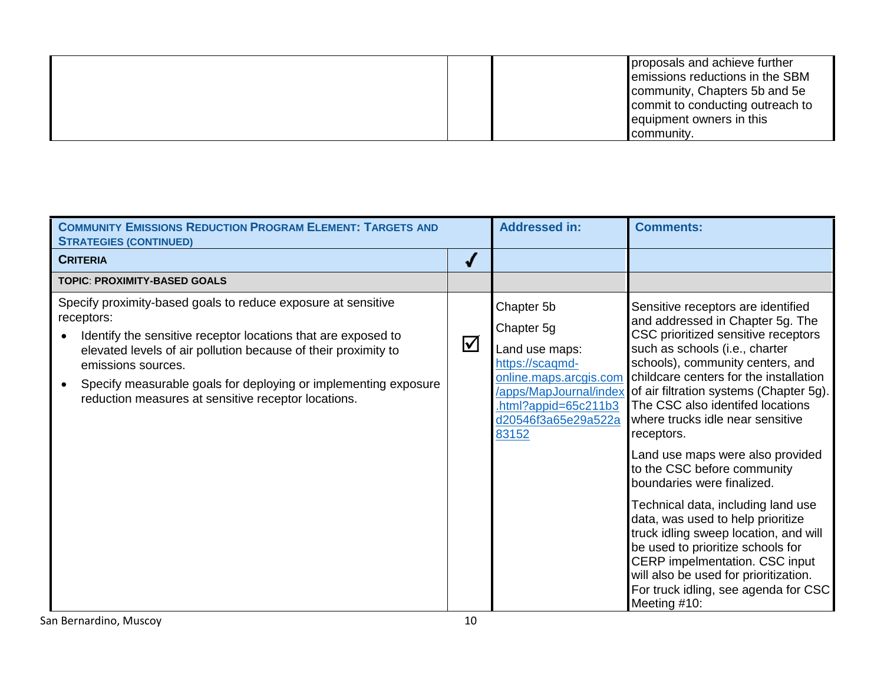|  | proposals and achieve further<br>emissions reductions in the SBM<br>community, Chapters 5b and 5e<br>commit to conducting outreach to<br>equipment owners in this |
|--|-------------------------------------------------------------------------------------------------------------------------------------------------------------------|
|  | community.                                                                                                                                                        |

| <b>COMMUNITY EMISSIONS REDUCTION PROGRAM ELEMENT: TARGETS AND</b><br><b>STRATEGIES (CONTINUED)</b>                                                                                                                                                                                                                                                             |                            | <b>Addressed in:</b>                                                                                                                                                         | <b>Comments:</b>                                                                                                                                                                                                                                                                                                                                                                                                                                                                                                                                                                                                                                                                                                                                            |
|----------------------------------------------------------------------------------------------------------------------------------------------------------------------------------------------------------------------------------------------------------------------------------------------------------------------------------------------------------------|----------------------------|------------------------------------------------------------------------------------------------------------------------------------------------------------------------------|-------------------------------------------------------------------------------------------------------------------------------------------------------------------------------------------------------------------------------------------------------------------------------------------------------------------------------------------------------------------------------------------------------------------------------------------------------------------------------------------------------------------------------------------------------------------------------------------------------------------------------------------------------------------------------------------------------------------------------------------------------------|
| <b>CRITERIA</b>                                                                                                                                                                                                                                                                                                                                                | J                          |                                                                                                                                                                              |                                                                                                                                                                                                                                                                                                                                                                                                                                                                                                                                                                                                                                                                                                                                                             |
| <b>TOPIC: PROXIMITY-BASED GOALS</b>                                                                                                                                                                                                                                                                                                                            |                            |                                                                                                                                                                              |                                                                                                                                                                                                                                                                                                                                                                                                                                                                                                                                                                                                                                                                                                                                                             |
| Specify proximity-based goals to reduce exposure at sensitive<br>receptors:<br>Identify the sensitive receptor locations that are exposed to<br>elevated levels of air pollution because of their proximity to<br>emissions sources.<br>Specify measurable goals for deploying or implementing exposure<br>reduction measures at sensitive receptor locations. | $\boldsymbol{\mathcal{Y}}$ | Chapter 5b<br>Chapter 5g<br>Land use maps:<br>https://scaqmd-<br>online.maps.arcgis.com<br>/apps/MapJournal/index<br>$.html?$ appid=65c211b3<br>d20546f3a65e29a522a<br>83152 | Sensitive receptors are identified<br>and addressed in Chapter 5g. The<br>CSC prioritized sensitive receptors<br>such as schools (i.e., charter<br>schools), community centers, and<br>childcare centers for the installation<br>of air filtration systems (Chapter 5g).<br>The CSC also identifed locations<br>where trucks idle near sensitive<br>receptors.<br>Land use maps were also provided<br>to the CSC before community<br>boundaries were finalized.<br>Technical data, including land use<br>data, was used to help prioritize<br>truck idling sweep location, and will<br>be used to prioritize schools for<br>CERP impelmentation. CSC input<br>will also be used for prioritization.<br>For truck idling, see agenda for CSC<br>Meeting #10: |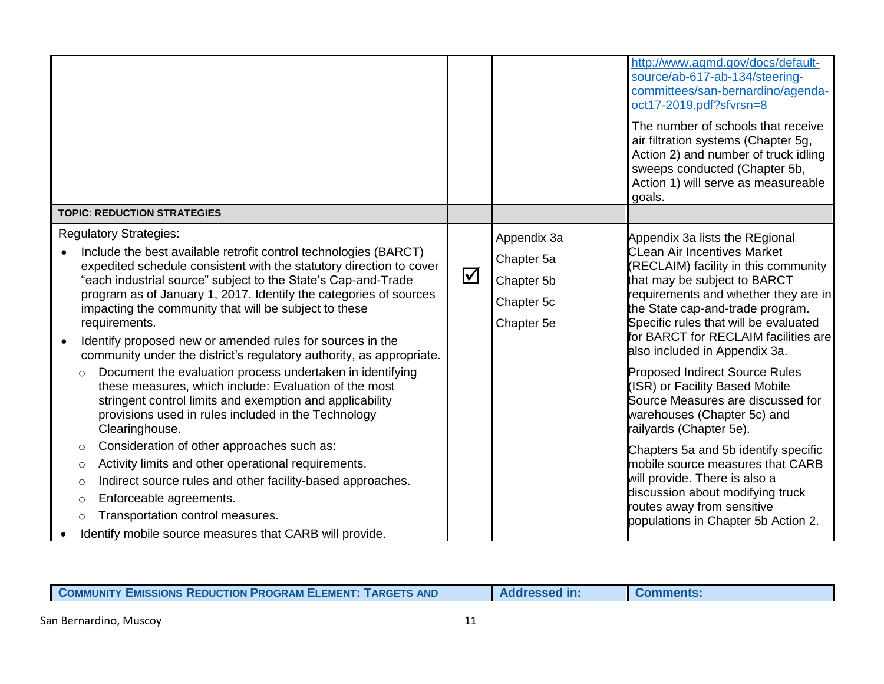|                                               | <b>TOPIC: REDUCTION STRATEGIES</b>                                                                                                                                                                                                                                                                                                                                                                                                                                                                                                                                                                                                                                                                                                                                                       |          |                                                                     | http://www.aqmd.gov/docs/default-<br>source/ab-617-ab-134/steering-<br>committees/san-bernardino/agenda-<br>oct17-2019.pdf?sfvrsn=8<br>The number of schools that receive<br>air filtration systems (Chapter 5g,<br>Action 2) and number of truck idling<br>sweeps conducted (Chapter 5b,<br>Action 1) will serve as measureable<br>goals.                                                                                                                                                                           |
|-----------------------------------------------|------------------------------------------------------------------------------------------------------------------------------------------------------------------------------------------------------------------------------------------------------------------------------------------------------------------------------------------------------------------------------------------------------------------------------------------------------------------------------------------------------------------------------------------------------------------------------------------------------------------------------------------------------------------------------------------------------------------------------------------------------------------------------------------|----------|---------------------------------------------------------------------|----------------------------------------------------------------------------------------------------------------------------------------------------------------------------------------------------------------------------------------------------------------------------------------------------------------------------------------------------------------------------------------------------------------------------------------------------------------------------------------------------------------------|
| $\circ$                                       | <b>Regulatory Strategies:</b><br>Include the best available retrofit control technologies (BARCT)<br>expedited schedule consistent with the statutory direction to cover<br>"each industrial source" subject to the State's Cap-and-Trade<br>program as of January 1, 2017. Identify the categories of sources<br>impacting the community that will be subject to these<br>requirements.<br>Identify proposed new or amended rules for sources in the<br>community under the district's regulatory authority, as appropriate.<br>Document the evaluation process undertaken in identifying<br>these measures, which include: Evaluation of the most<br>stringent control limits and exemption and applicability<br>provisions used in rules included in the Technology<br>Clearinghouse. | $\Delta$ | Appendix 3a<br>Chapter 5a<br>Chapter 5b<br>Chapter 5c<br>Chapter 5e | Appendix 3a lists the REgional<br><b>CLean Air Incentives Market</b><br>(RECLAIM) facility in this community<br>that may be subject to BARCT<br>requirements and whether they are in<br>the State cap-and-trade program.<br>Specific rules that will be evaluated<br>for BARCT for RECLAIM facilities are<br>also included in Appendix 3a.<br><b>Proposed Indirect Source Rules</b><br>(ISR) or Facility Based Mobile<br>Source Measures are discussed for<br>warehouses (Chapter 5c) and<br>railyards (Chapter 5e). |
| $\circ$<br>$\circ$<br>O<br>$\circ$<br>$\circ$ | Consideration of other approaches such as:<br>Activity limits and other operational requirements.<br>Indirect source rules and other facility-based approaches.<br>Enforceable agreements.<br>Transportation control measures.<br>Identify mobile source measures that CARB will provide.                                                                                                                                                                                                                                                                                                                                                                                                                                                                                                |          |                                                                     | Chapters 5a and 5b identify specific<br>mobile source measures that CARB<br>will provide. There is also a<br>discussion about modifying truck<br>routes away from sensitive<br>populations in Chapter 5b Action 2.                                                                                                                                                                                                                                                                                                   |

|  | <b>COMMUNITY EMISSIONS REDUCTION PROGRAM ELEMENT: TARGETS AND</b> | <b>Addressed in:</b> |  |
|--|-------------------------------------------------------------------|----------------------|--|
|--|-------------------------------------------------------------------|----------------------|--|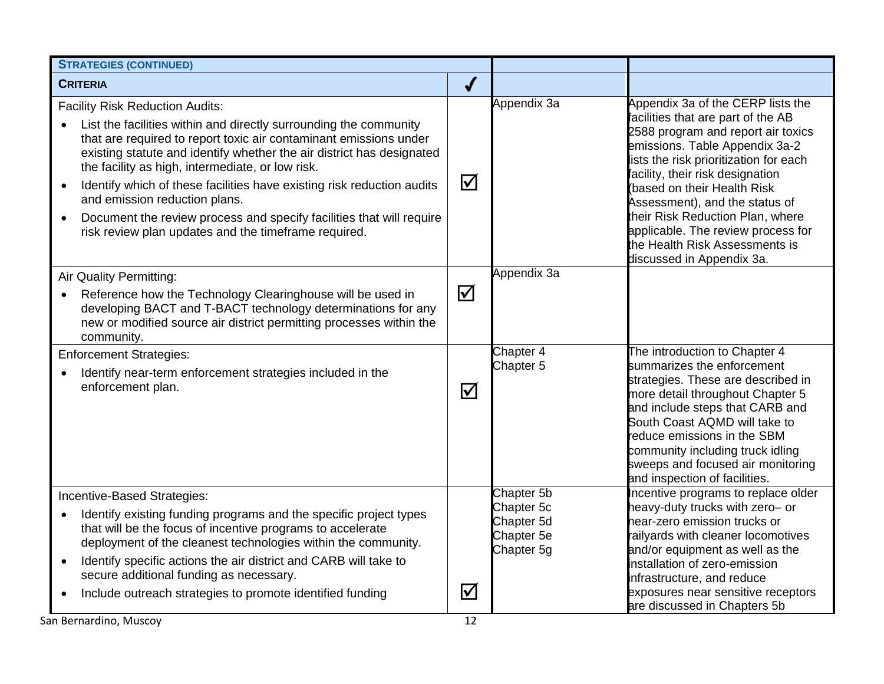| <b>STRATEGIES (CONTINUED)</b>                                                                                                                                                                                                                                                                                                                                                                                                                                                                                                                                         |                      |                                                                    |                                                                                                                                                                                                                                                                                                                                                                                                                                         |
|-----------------------------------------------------------------------------------------------------------------------------------------------------------------------------------------------------------------------------------------------------------------------------------------------------------------------------------------------------------------------------------------------------------------------------------------------------------------------------------------------------------------------------------------------------------------------|----------------------|--------------------------------------------------------------------|-----------------------------------------------------------------------------------------------------------------------------------------------------------------------------------------------------------------------------------------------------------------------------------------------------------------------------------------------------------------------------------------------------------------------------------------|
| <b>CRITERIA</b>                                                                                                                                                                                                                                                                                                                                                                                                                                                                                                                                                       | √                    |                                                                    |                                                                                                                                                                                                                                                                                                                                                                                                                                         |
| <b>Facility Risk Reduction Audits:</b><br>List the facilities within and directly surrounding the community<br>that are required to report toxic air contaminant emissions under<br>existing statute and identify whether the air district has designated<br>the facility as high, intermediate, or low risk.<br>Identify which of these facilities have existing risk reduction audits<br>$\bullet$<br>and emission reduction plans.<br>Document the review process and specify facilities that will require<br>risk review plan updates and the timeframe required. | $\bm{\nabla}$        | Appendix 3a                                                        | Appendix 3a of the CERP lists the<br>facilities that are part of the AB<br>2588 program and report air toxics<br>emissions. Table Appendix 3a-2<br>lists the risk prioritization for each<br>facility, their risk designation<br>(based on their Health Risk<br>Assessment), and the status of<br>their Risk Reduction Plan, where<br>applicable. The review process for<br>the Health Risk Assessments is<br>discussed in Appendix 3a. |
| Air Quality Permitting:<br>Reference how the Technology Clearinghouse will be used in<br>developing BACT and T-BACT technology determinations for any<br>new or modified source air district permitting processes within the<br>community.                                                                                                                                                                                                                                                                                                                            | $\Delta$             | Appendix 3a                                                        |                                                                                                                                                                                                                                                                                                                                                                                                                                         |
| <b>Enforcement Strategies:</b><br>Identify near-term enforcement strategies included in the<br>$\bullet$<br>enforcement plan.                                                                                                                                                                                                                                                                                                                                                                                                                                         | $\boxed{\checkmark}$ | Chapter 4<br>Chapter <sub>5</sub>                                  | The introduction to Chapter 4<br>summarizes the enforcement<br>strategies. These are described in<br>more detail throughout Chapter 5<br>and include steps that CARB and<br>South Coast AQMD will take to<br>reduce emissions in the SBM<br>community including truck idling<br>sweeps and focused air monitoring<br>and inspection of facilities.                                                                                      |
| Incentive-Based Strategies:<br>Identify existing funding programs and the specific project types<br>that will be the focus of incentive programs to accelerate<br>deployment of the cleanest technologies within the community.<br>Identify specific actions the air district and CARB will take to<br>$\bullet$<br>secure additional funding as necessary.<br>Include outreach strategies to promote identified funding<br>$\bullet$                                                                                                                                 | $\blacktriangledown$ | Chapter 5b<br>Chapter 5c<br>Chapter 5d<br>Chapter 5e<br>Chapter 5g | Incentive programs to replace older<br>heavy-duty trucks with zero- or<br>hear-zero emission trucks or<br>railyards with cleaner locomotives<br>and/or equipment as well as the<br>installation of zero-emission<br>infrastructure, and reduce<br>exposures near sensitive receptors<br>are discussed in Chapters 5b                                                                                                                    |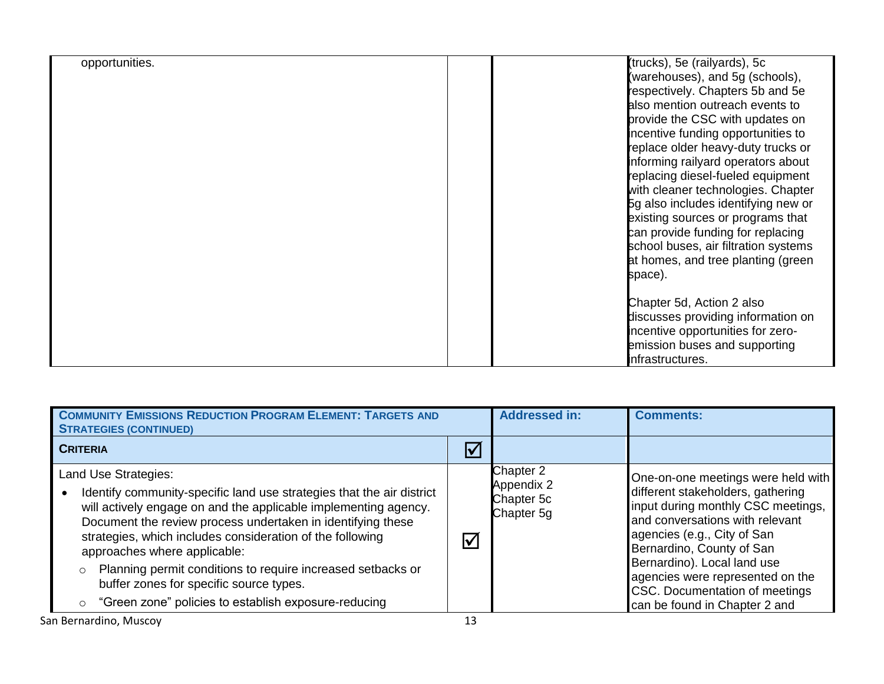| opportunities. | (trucks), 5e (railyards), 5c         |
|----------------|--------------------------------------|
|                | (warehouses), and 5g (schools),      |
|                | respectively. Chapters 5b and 5e     |
|                | also mention outreach events to      |
|                | provide the CSC with updates on      |
|                | incentive funding opportunities to   |
|                | replace older heavy-duty trucks or   |
|                | informing railyard operators about   |
|                | replacing diesel-fueled equipment    |
|                | with cleaner technologies. Chapter   |
|                | 5g also includes identifying new or  |
|                | existing sources or programs that    |
|                | can provide funding for replacing    |
|                | school buses, air filtration systems |
|                | at homes, and tree planting (green   |
|                |                                      |
|                | space).                              |
|                |                                      |
|                | Chapter 5d, Action 2 also            |
|                | discusses providing information on   |
|                | incentive opportunities for zero-    |
|                | emission buses and supporting        |
|                | infrastructures.                     |

| <b>COMMUNITY EMISSIONS REDUCTION PROGRAM ELEMENT: TARGETS AND</b><br><b>STRATEGIES (CONTINUED)</b>                                                                                                                                                                                                                                                                                                                                                                                                  |                      | <b>Addressed in:</b>                                | <b>Comments:</b>                                                                                                                                                                                                                                                                                                                                   |
|-----------------------------------------------------------------------------------------------------------------------------------------------------------------------------------------------------------------------------------------------------------------------------------------------------------------------------------------------------------------------------------------------------------------------------------------------------------------------------------------------------|----------------------|-----------------------------------------------------|----------------------------------------------------------------------------------------------------------------------------------------------------------------------------------------------------------------------------------------------------------------------------------------------------------------------------------------------------|
| <b>CRITERIA</b>                                                                                                                                                                                                                                                                                                                                                                                                                                                                                     | $\blacktriangledown$ |                                                     |                                                                                                                                                                                                                                                                                                                                                    |
| Land Use Strategies:<br>Identify community-specific land use strategies that the air district<br>٠<br>will actively engage on and the applicable implementing agency.<br>Document the review process undertaken in identifying these<br>strategies, which includes consideration of the following<br>approaches where applicable:<br>Planning permit conditions to require increased setbacks or<br>buffer zones for specific source types.<br>"Green zone" policies to establish exposure-reducing | $\blacktriangledown$ | Chapter 2<br>Appendix 2<br>Chapter 5c<br>Chapter 5g | One-on-one meetings were held with<br>different stakeholders, gathering<br>input during monthly CSC meetings,<br>and conversations with relevant<br>agencies (e.g., City of San<br>Bernardino, County of San<br>Bernardino). Local land use<br>agencies were represented on the<br>CSC. Documentation of meetings<br>can be found in Chapter 2 and |
| San Bernardino, Muscoy                                                                                                                                                                                                                                                                                                                                                                                                                                                                              | 13                   |                                                     |                                                                                                                                                                                                                                                                                                                                                    |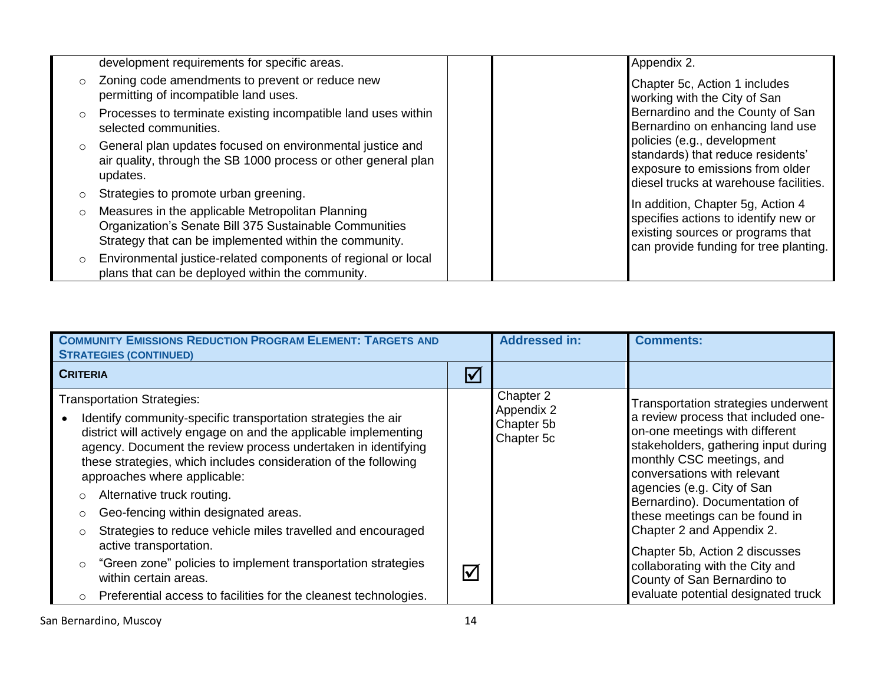| development requirements for specific areas.                                                                                                                                    | Appendix 2.                                                                                                                                              |
|---------------------------------------------------------------------------------------------------------------------------------------------------------------------------------|----------------------------------------------------------------------------------------------------------------------------------------------------------|
| Zoning code amendments to prevent or reduce new<br>$\circ$<br>permitting of incompatible land uses.                                                                             | Chapter 5c, Action 1 includes<br>working with the City of San                                                                                            |
| Processes to terminate existing incompatible land uses within<br>$\circ$<br>selected communities.                                                                               | Bernardino and the County of San<br>Bernardino on enhancing land use                                                                                     |
| General plan updates focused on environmental justice and<br>$\circ$<br>air quality, through the SB 1000 process or other general plan<br>updates.                              | policies (e.g., development<br>standards) that reduce residents'<br>exposure to emissions from older<br>diesel trucks at warehouse facilities.           |
| Strategies to promote urban greening.<br>O                                                                                                                                      |                                                                                                                                                          |
| Measures in the applicable Metropolitan Planning<br>$\circ$<br>Organization's Senate Bill 375 Sustainable Communities<br>Strategy that can be implemented within the community. | In addition, Chapter 5g, Action 4<br>specifies actions to identify new or<br>existing sources or programs that<br>can provide funding for tree planting. |
| Environmental justice-related components of regional or local<br>$\circ$<br>plans that can be deployed within the community.                                                    |                                                                                                                                                          |

| <b>COMMUNITY EMISSIONS REDUCTION PROGRAM ELEMENT: TARGETS AND</b><br><b>STRATEGIES (CONTINUED)</b>                                                                                                                                                                                                                                                                                                                                                                                                    |                         | <b>Addressed in:</b>                                | <b>Comments:</b>                                                                                                                                                                                                                                                                                                                               |
|-------------------------------------------------------------------------------------------------------------------------------------------------------------------------------------------------------------------------------------------------------------------------------------------------------------------------------------------------------------------------------------------------------------------------------------------------------------------------------------------------------|-------------------------|-----------------------------------------------------|------------------------------------------------------------------------------------------------------------------------------------------------------------------------------------------------------------------------------------------------------------------------------------------------------------------------------------------------|
| <b>CRITERIA</b>                                                                                                                                                                                                                                                                                                                                                                                                                                                                                       | $\boxed{\checkmark}$    |                                                     |                                                                                                                                                                                                                                                                                                                                                |
| <b>Transportation Strategies:</b><br>Identify community-specific transportation strategies the air<br>district will actively engage on and the applicable implementing<br>agency. Document the review process undertaken in identifying<br>these strategies, which includes consideration of the following<br>approaches where applicable:<br>Alternative truck routing.<br>Geo-fencing within designated areas.<br>$\circ$<br>Strategies to reduce vehicle miles travelled and encouraged<br>$\circ$ |                         | Chapter 2<br>Appendix 2<br>Chapter 5b<br>Chapter 5c | Transportation strategies underwent<br>a review process that included one-<br>on-one meetings with different<br>stakeholders, gathering input during<br>monthly CSC meetings, and<br>conversations with relevant<br>agencies (e.g. City of San<br>Bernardino). Documentation of<br>these meetings can be found in<br>Chapter 2 and Appendix 2. |
| active transportation.<br>"Green zone" policies to implement transportation strategies<br>$\circ$<br>within certain areas.<br>o Preferential access to facilities for the cleanest technologies.                                                                                                                                                                                                                                                                                                      | $\overline{\mathsf{M}}$ |                                                     | Chapter 5b, Action 2 discusses<br>collaborating with the City and<br>County of San Bernardino to<br>evaluate potential designated truck                                                                                                                                                                                                        |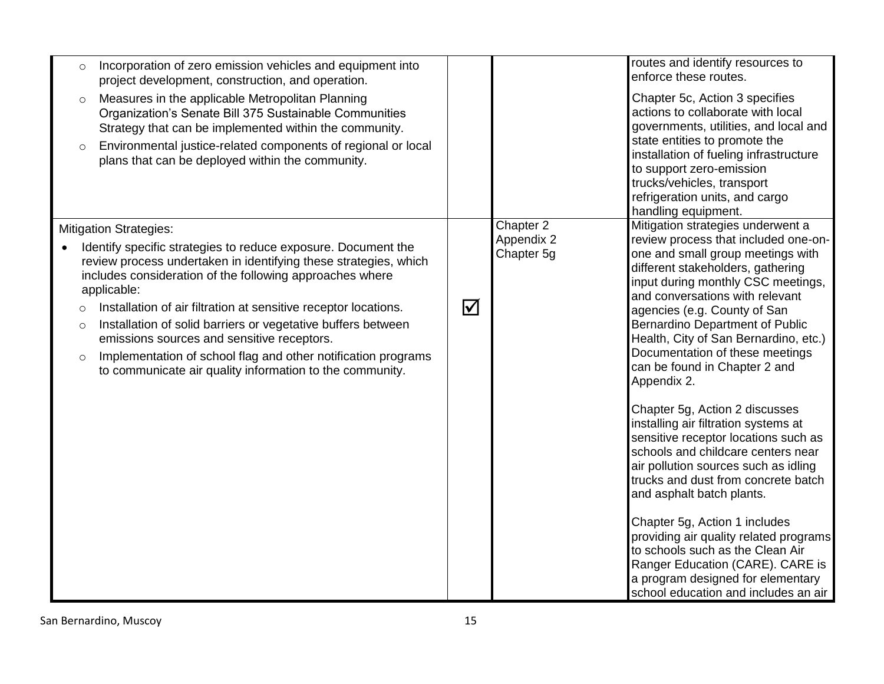| Incorporation of zero emission vehicles and equipment into<br>$\circ$<br>project development, construction, and operation.<br>Measures in the applicable Metropolitan Planning<br>$\circ$<br>Organization's Senate Bill 375 Sustainable Communities<br>Strategy that can be implemented within the community.<br>Environmental justice-related components of regional or local<br>$\circ$<br>plans that can be deployed within the community.                                                                                                                                                |                                                   | routes and identify resources to<br>enforce these routes.<br>Chapter 5c, Action 3 specifies<br>actions to collaborate with local<br>governments, utilities, and local and<br>state entities to promote the<br>installation of fueling infrastructure<br>to support zero-emission<br>trucks/vehicles, transport<br>refrigeration units, and cargo<br>handling equipment.                                                                                                                                                                                                                                                                                                                                                                                                                                                                                                                                                         |
|----------------------------------------------------------------------------------------------------------------------------------------------------------------------------------------------------------------------------------------------------------------------------------------------------------------------------------------------------------------------------------------------------------------------------------------------------------------------------------------------------------------------------------------------------------------------------------------------|---------------------------------------------------|---------------------------------------------------------------------------------------------------------------------------------------------------------------------------------------------------------------------------------------------------------------------------------------------------------------------------------------------------------------------------------------------------------------------------------------------------------------------------------------------------------------------------------------------------------------------------------------------------------------------------------------------------------------------------------------------------------------------------------------------------------------------------------------------------------------------------------------------------------------------------------------------------------------------------------|
| <b>Mitigation Strategies:</b><br>Identify specific strategies to reduce exposure. Document the<br>review process undertaken in identifying these strategies, which<br>includes consideration of the following approaches where<br>applicable:<br>Installation of air filtration at sensitive receptor locations.<br>$\circ$<br>Installation of solid barriers or vegetative buffers between<br>$\circ$<br>emissions sources and sensitive receptors.<br>Implementation of school flag and other notification programs<br>$\circ$<br>to communicate air quality information to the community. | Chapter 2<br>Appendix 2<br>Chapter 5g<br>$\Delta$ | Mitigation strategies underwent a<br>review process that included one-on-<br>one and small group meetings with<br>different stakeholders, gathering<br>input during monthly CSC meetings,<br>and conversations with relevant<br>agencies (e.g. County of San<br>Bernardino Department of Public<br>Health, City of San Bernardino, etc.)<br>Documentation of these meetings<br>can be found in Chapter 2 and<br>Appendix 2.<br>Chapter 5g, Action 2 discusses<br>installing air filtration systems at<br>sensitive receptor locations such as<br>schools and childcare centers near<br>air pollution sources such as idling<br>trucks and dust from concrete batch<br>and asphalt batch plants.<br>Chapter 5g, Action 1 includes<br>providing air quality related programs<br>to schools such as the Clean Air<br>Ranger Education (CARE). CARE is<br>a program designed for elementary<br>school education and includes an air |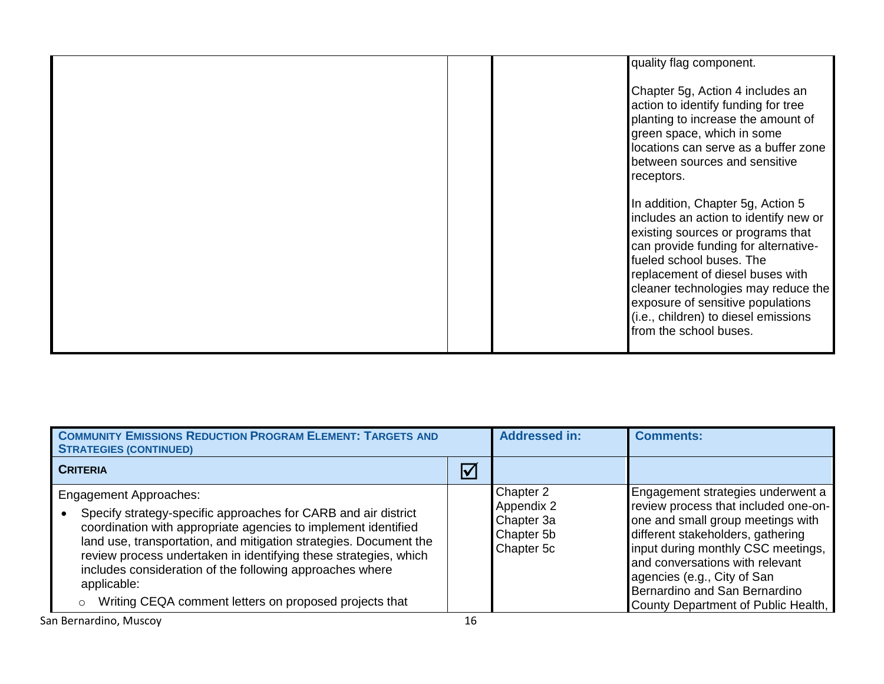| quality flag component.                                                                                                                                                                                                                                                                                                                                               |
|-----------------------------------------------------------------------------------------------------------------------------------------------------------------------------------------------------------------------------------------------------------------------------------------------------------------------------------------------------------------------|
| Chapter 5g, Action 4 includes an<br>action to identify funding for tree<br>planting to increase the amount of<br>green space, which in some<br>locations can serve as a buffer zone<br>between sources and sensitive<br>receptors.                                                                                                                                    |
| In addition, Chapter 5g, Action 5<br>includes an action to identify new or<br>existing sources or programs that<br>can provide funding for alternative-<br>fueled school buses. The<br>replacement of diesel buses with<br>cleaner technologies may reduce the<br>exposure of sensitive populations<br>(i.e., children) to diesel emissions<br>from the school buses. |

| <b>COMMUNITY EMISSIONS REDUCTION PROGRAM ELEMENT: TARGETS AND</b><br><b>STRATEGIES (CONTINUED)</b>                                                                                                                                                                                                                                                                                                                                              |                      | <b>Addressed in:</b>                                              | <b>Comments:</b>                                                                                                                                                                                                                                                                                                                    |
|-------------------------------------------------------------------------------------------------------------------------------------------------------------------------------------------------------------------------------------------------------------------------------------------------------------------------------------------------------------------------------------------------------------------------------------------------|----------------------|-------------------------------------------------------------------|-------------------------------------------------------------------------------------------------------------------------------------------------------------------------------------------------------------------------------------------------------------------------------------------------------------------------------------|
| <b>CRITERIA</b>                                                                                                                                                                                                                                                                                                                                                                                                                                 | $\boxed{\checkmark}$ |                                                                   |                                                                                                                                                                                                                                                                                                                                     |
| <b>Engagement Approaches:</b><br>Specify strategy-specific approaches for CARB and air district<br>coordination with appropriate agencies to implement identified<br>land use, transportation, and mitigation strategies. Document the<br>review process undertaken in identifying these strategies, which<br>includes consideration of the following approaches where<br>applicable:<br>Writing CEQA comment letters on proposed projects that |                      | Chapter 2<br>Appendix 2<br>Chapter 3a<br>Chapter 5b<br>Chapter 5c | Engagement strategies underwent a<br>review process that included one-on-<br>one and small group meetings with<br>different stakeholders, gathering<br>input during monthly CSC meetings,<br>and conversations with relevant<br>agencies (e.g., City of San<br>Bernardino and San Bernardino<br>County Department of Public Health, |
| San Bernardino, Muscoy                                                                                                                                                                                                                                                                                                                                                                                                                          | 16                   |                                                                   |                                                                                                                                                                                                                                                                                                                                     |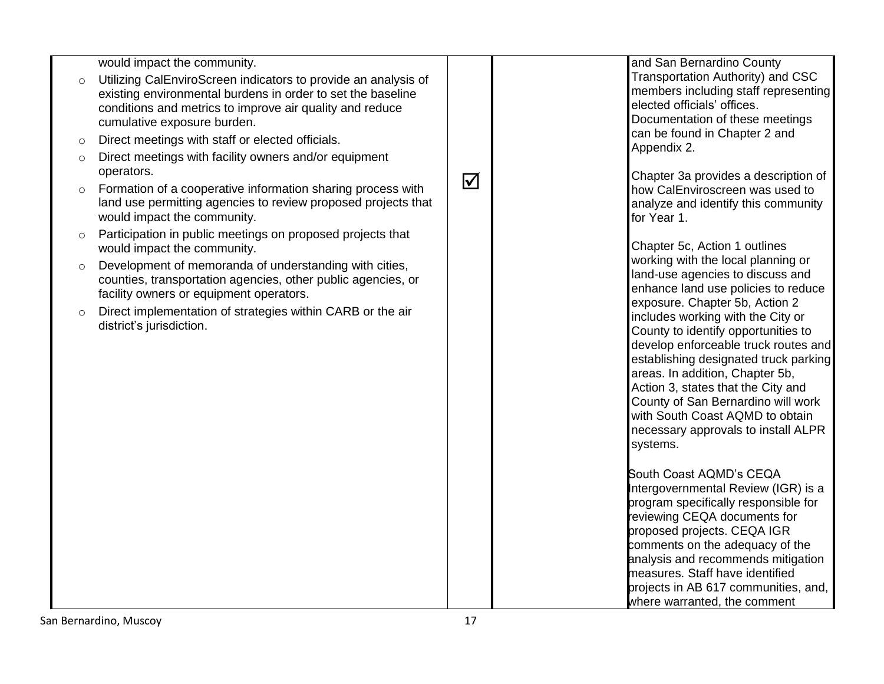| would impact the community. |
|-----------------------------|
|-----------------------------|

- o Utilizing CalEnviroScreen indicators to provide an analysis of existing environmental burdens in order to set the baseline conditions and metrics to improve air quality and reduce cumulative exposure burden.
- o Direct meetings with staff or elected officials.
- o Direct meetings with facility owners and/or equipment operators.
- o Formation of a cooperative information sharing process with land use permitting agencies to review proposed projects that would impact the community.
- o Participation in public meetings on proposed projects that would impact the community.
- o Development of memoranda of understanding with cities, counties, transportation agencies, other public agencies, or facility owners or equipment operators.
- o Direct implementation of strategies within CARB or the air district's jurisdiction.

 $\overline{\mathsf{M}}$ 

and San Bernardino County Transportation Authority) and CSC members including staff representing elected officials' offices. Documentation of these meetings can be found in Chapter 2 and Appendix 2.

Chapter 3a provides a description of how CalEnviroscreen was used to analyze and identify this community for Year 1.

Chapter 5c, Action 1 outlines working with the local planning or land -use agencies to discuss and enhance land use policies to reduce exposure. Chapter 5b, Action 2 includes working with the City or County to identify opportunities to develop enforceable truck routes and establishing designated truck parking areas. In addition, Chapter 5b, Action 3, states that the City and County of San Bernardino will work with South Coast AQMD to obtain necessary approvals to install ALPR systems.

South Coast AQMD's CEQA Intergovernmental Review (IGR) is a program specifically responsible for reviewing CEQA documents for proposed projects. CEQA IGR comments on the adequacy of the analysis and recommends mitigation measures. Staff have identified<br>projects in AB 617 communities, and, where warranted, the comment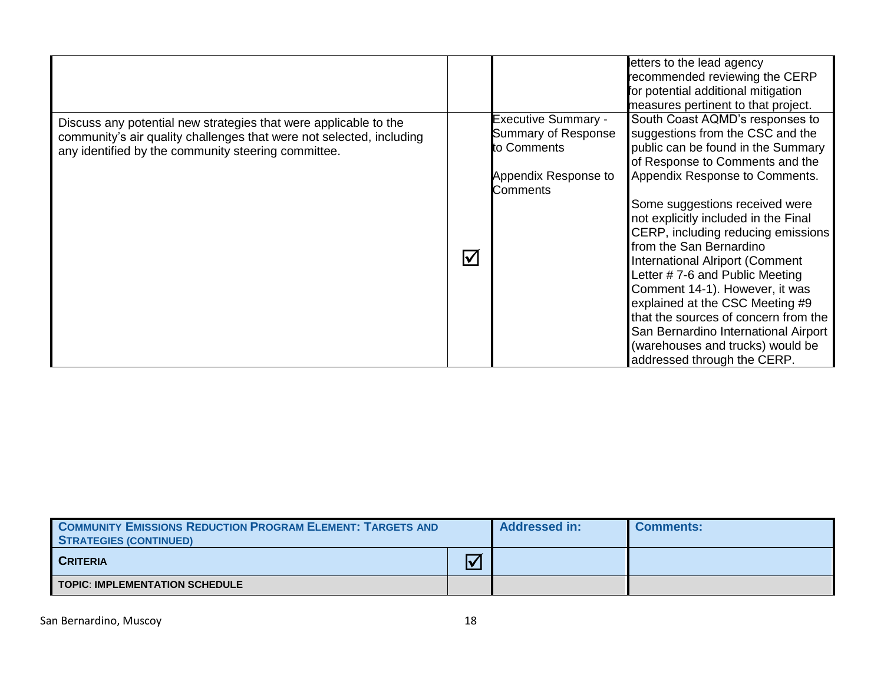|                                                                                                                                                                                                                         |                                                                                                                    | letters to the lead agency<br>recommended reviewing the CERP<br>for potential additional mitigation<br>measures pertinent to that project.                                                                                                                                                                                                                                                                                                                                                                                                                                                                             |
|-------------------------------------------------------------------------------------------------------------------------------------------------------------------------------------------------------------------------|--------------------------------------------------------------------------------------------------------------------|------------------------------------------------------------------------------------------------------------------------------------------------------------------------------------------------------------------------------------------------------------------------------------------------------------------------------------------------------------------------------------------------------------------------------------------------------------------------------------------------------------------------------------------------------------------------------------------------------------------------|
| Discuss any potential new strategies that were applicable to the<br>community's air quality challenges that were not selected, including<br>any identified by the community steering committee.<br>$\blacktriangledown$ | <b>Executive Summary -</b><br><b>Summary of Response</b><br>to Comments<br>Appendix Response to<br><b>Comments</b> | South Coast AQMD's responses to<br>suggestions from the CSC and the<br>public can be found in the Summary<br>of Response to Comments and the<br>Appendix Response to Comments.<br>Some suggestions received were<br>not explicitly included in the Final<br>CERP, including reducing emissions<br>from the San Bernardino<br>International Alriport (Comment<br>Letter #7-6 and Public Meeting<br>Comment 14-1). However, it was<br>explained at the CSC Meeting #9<br>that the sources of concern from the<br>San Bernardino International Airport<br>(warehouses and trucks) would be<br>addressed through the CERP. |

| <b>COMMUNITY EMISSIONS REDUCTION PROGRAM ELEMENT: TARGETS AND</b><br>STRATEGIES (CONTINUED) |                         | <b>Addressed in:</b> | <b>Comments:</b> |
|---------------------------------------------------------------------------------------------|-------------------------|----------------------|------------------|
| <b>CRITERIA</b>                                                                             | $\overline{\mathsf{v}}$ |                      |                  |
| <b>TOPIC: IMPLEMENTATION SCHEDULE</b>                                                       |                         |                      |                  |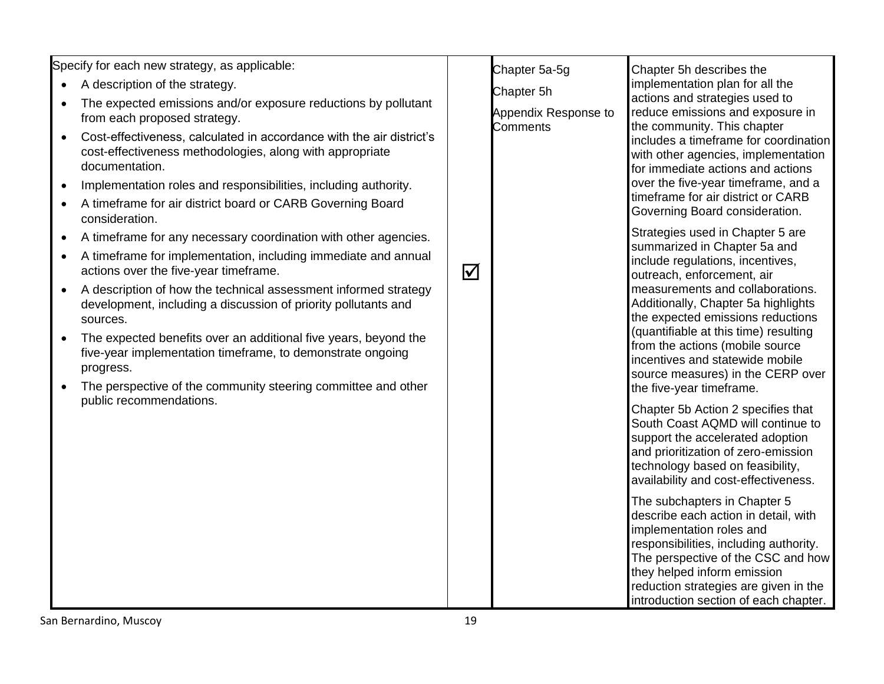Specify for each new strategy, as applicable:

- A description of the strategy.
- The expected emissions and/or exposure reductions by pollutant from each proposed strategy.
- Cost-effectiveness, calculated in accordance with the air district's cost-effectiveness methodologies, along with appropriate documentation.
- Implementation roles and responsibilities, including authority.
- A timeframe for air district board or CARB Governing Board consideration.
- A timeframe for any necessary coordination with other agencies.
- A timeframe for implementation, including immediate and annual actions over the five-year timeframe.
- A description of how the technical assessment informed strategy development, including a discussion of priority pollutants and sources.
- The expected benefits over an additional five years, beyond the five-year implementation timeframe, to demonstrate ongoing progress.
- The perspective of the community steering committee and other public recommendations.

| Chapter 5a-5g<br>Chapter 5h<br>Appendix Response to<br>Comments | Chapter 5h describes the<br>implementation plan for all the<br>actions and strategies used to<br>reduce emissions and exposure in<br>the community. This chapter<br>includes a timeframe for coordination<br>with other agencies, implementation<br>for immediate actions and actions<br>over the five-year timeframe, and a<br>timeframe for air district or CARB<br>Governing Board consideration.                               |
|-----------------------------------------------------------------|------------------------------------------------------------------------------------------------------------------------------------------------------------------------------------------------------------------------------------------------------------------------------------------------------------------------------------------------------------------------------------------------------------------------------------|
|                                                                 | Strategies used in Chapter 5 are<br>summarized in Chapter 5a and<br>include regulations, incentives,<br>outreach, enforcement, air<br>measurements and collaborations.<br>Additionally, Chapter 5a highlights<br>the expected emissions reductions<br>(quantifiable at this time) resulting<br>from the actions (mobile source<br>incentives and statewide mobile<br>source measures) in the CERP over<br>the five-year timeframe. |
|                                                                 | Chapter 5b Action 2 specifies that<br>South Coast AQMD will continue to<br>support the accelerated adoption<br>and prioritization of zero-emission<br>technology based on feasibility,<br>availability and cost-effectiveness.                                                                                                                                                                                                     |
|                                                                 | The subchapters in Chapter 5<br>describe each action in detail, with<br>implementation roles and<br>responsibilities, including authority.<br>The perspective of the CSC and how<br>they helped inform emission<br>reduction strategies are given in the<br>introduction section of each chapter.                                                                                                                                  |

 $\overline{\mathsf{M}}$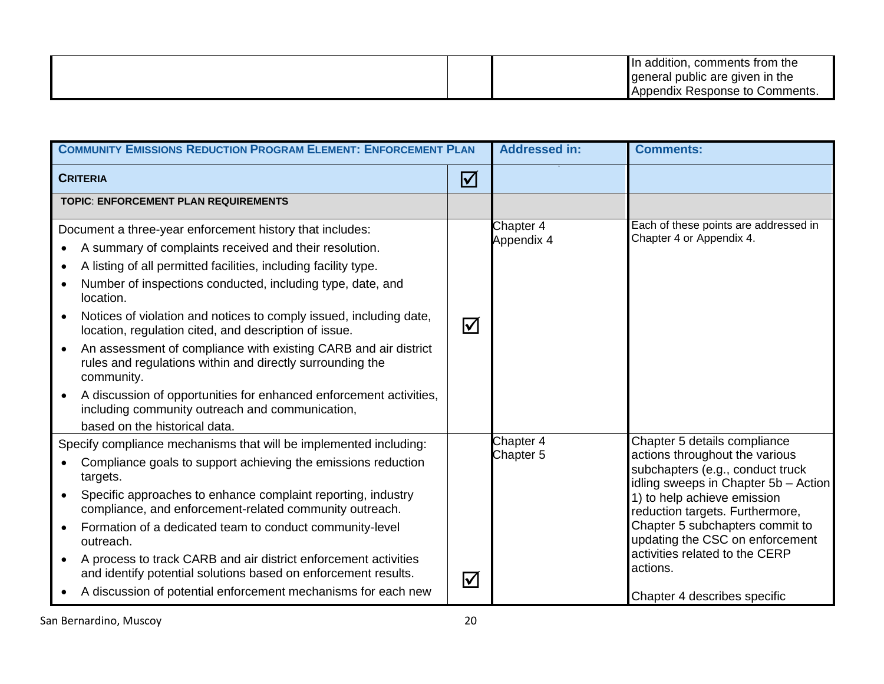| In addition, comments from the        |  |
|---------------------------------------|--|
| general public are given in the       |  |
| : Response to Comments.<br>  Appendix |  |

| <b>COMMUNITY EMISSIONS REDUCTION PROGRAM ELEMENT: ENFORCEMENT PLAN</b>                                                                                                                                                                                                                                                                                                                                                                                                                                                                                                                                                                                                                                                            |                       | <b>Addressed in:</b>    | <b>Comments:</b>                                                                                                                                                                                                                                                                                                                                                 |
|-----------------------------------------------------------------------------------------------------------------------------------------------------------------------------------------------------------------------------------------------------------------------------------------------------------------------------------------------------------------------------------------------------------------------------------------------------------------------------------------------------------------------------------------------------------------------------------------------------------------------------------------------------------------------------------------------------------------------------------|-----------------------|-------------------------|------------------------------------------------------------------------------------------------------------------------------------------------------------------------------------------------------------------------------------------------------------------------------------------------------------------------------------------------------------------|
| <b>CRITERIA</b>                                                                                                                                                                                                                                                                                                                                                                                                                                                                                                                                                                                                                                                                                                                   | $\boldsymbol{\nabla}$ |                         |                                                                                                                                                                                                                                                                                                                                                                  |
| <b>TOPIC: ENFORCEMENT PLAN REQUIREMENTS</b>                                                                                                                                                                                                                                                                                                                                                                                                                                                                                                                                                                                                                                                                                       |                       |                         |                                                                                                                                                                                                                                                                                                                                                                  |
| Document a three-year enforcement history that includes:<br>A summary of complaints received and their resolution.<br>$\bullet$<br>A listing of all permitted facilities, including facility type.<br>$\bullet$<br>Number of inspections conducted, including type, date, and<br>location.<br>Notices of violation and notices to comply issued, including date,<br>location, regulation cited, and description of issue.<br>An assessment of compliance with existing CARB and air district<br>rules and regulations within and directly surrounding the<br>community.<br>A discussion of opportunities for enhanced enforcement activities,<br>including community outreach and communication,<br>based on the historical data. | $\Delta$              | Chapter 4<br>Appendix 4 | Each of these points are addressed in<br>Chapter 4 or Appendix 4.                                                                                                                                                                                                                                                                                                |
| Specify compliance mechanisms that will be implemented including:<br>Compliance goals to support achieving the emissions reduction<br>targets.<br>Specific approaches to enhance complaint reporting, industry<br>$\bullet$<br>compliance, and enforcement-related community outreach.<br>Formation of a dedicated team to conduct community-level<br>outreach.<br>A process to track CARB and air district enforcement activities<br>and identify potential solutions based on enforcement results.<br>A discussion of potential enforcement mechanisms for each new                                                                                                                                                             | $\boxed{\checkmark}$  | Chapter 4<br>Chapter 5  | Chapter 5 details compliance<br>actions throughout the various<br>subchapters (e.g., conduct truck<br>idling sweeps in Chapter 5b - Action<br>1) to help achieve emission<br>reduction targets. Furthermore,<br>Chapter 5 subchapters commit to<br>updating the CSC on enforcement<br>activities related to the CERP<br>actions.<br>Chapter 4 describes specific |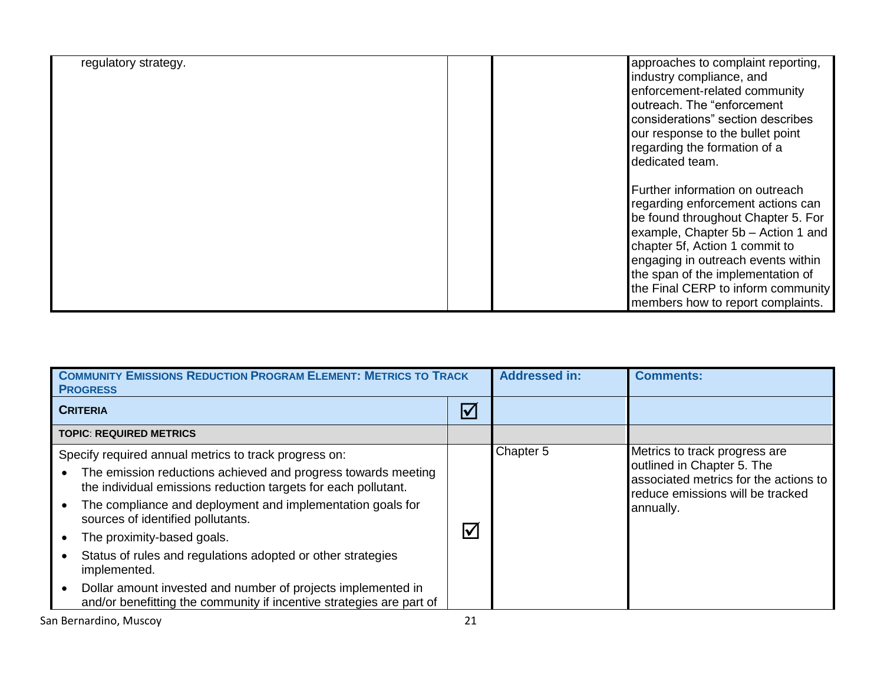| regulatory strategy. | approaches to complaint reporting,<br>industry compliance, and<br>enforcement-related community<br>outreach. The "enforcement<br>considerations" section describes<br>our response to the bullet point<br>regarding the formation of a<br>dedicated team.                                                                                |
|----------------------|------------------------------------------------------------------------------------------------------------------------------------------------------------------------------------------------------------------------------------------------------------------------------------------------------------------------------------------|
|                      | Further information on outreach<br>regarding enforcement actions can<br>be found throughout Chapter 5. For<br>example, Chapter 5b - Action 1 and<br>chapter 5f, Action 1 commit to<br>engaging in outreach events within<br>the span of the implementation of<br>the Final CERP to inform community<br>members how to report complaints. |

| <b>COMMUNITY EMISSIONS REDUCTION PROGRAM ELEMENT: METRICS TO TRACK</b><br><b>PROGRESS</b>                                                                                                                                                                                                                                                                                                                                                                                                                                                        |                      | <b>Addressed in:</b> | <b>Comments:</b>                                                                                                                                      |
|--------------------------------------------------------------------------------------------------------------------------------------------------------------------------------------------------------------------------------------------------------------------------------------------------------------------------------------------------------------------------------------------------------------------------------------------------------------------------------------------------------------------------------------------------|----------------------|----------------------|-------------------------------------------------------------------------------------------------------------------------------------------------------|
| <b>CRITERIA</b>                                                                                                                                                                                                                                                                                                                                                                                                                                                                                                                                  | $\bm{\nabla}$        |                      |                                                                                                                                                       |
| <b>TOPIC: REQUIRED METRICS</b>                                                                                                                                                                                                                                                                                                                                                                                                                                                                                                                   |                      |                      |                                                                                                                                                       |
| Specify required annual metrics to track progress on:<br>The emission reductions achieved and progress towards meeting<br>the individual emissions reduction targets for each pollutant.<br>The compliance and deployment and implementation goals for<br>sources of identified pollutants.<br>The proximity-based goals.<br>Status of rules and regulations adopted or other strategies<br>implemented.<br>Dollar amount invested and number of projects implemented in<br>and/or benefitting the community if incentive strategies are part of | $\bm{\triangledown}$ | Chapter 5            | Metrics to track progress are<br>outlined in Chapter 5. The<br>associated metrics for the actions to<br>reduce emissions will be tracked<br>annually. |